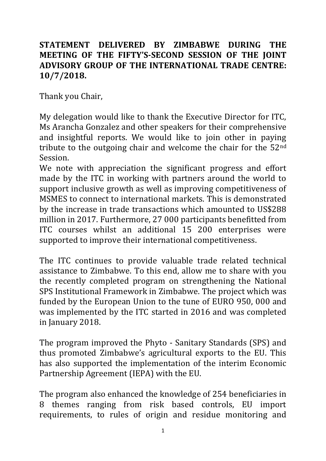## **STATEMENT DELIVERED BY ZIMBABWE DURING THE MEETING OF THE FIFTY'S-SECOND SESSION OF THE JOINT ADVISORY GROUP OF THE INTERNATIONAL TRADE CENTRE: 10/7/2018.**

Thank you Chair,

My delegation would like to thank the Executive Director for ITC, Ms Arancha Gonzalez and other speakers for their comprehensive and insightful reports. We would like to join other in paying tribute to the outgoing chair and welcome the chair for the  $52<sup>nd</sup>$ Session.

We note with appreciation the significant progress and effort made by the ITC in working with partners around the world to support inclusive growth as well as improving competitiveness of MSMES to connect to international markets. This is demonstrated by the increase in trade transactions which amounted to US\$288 million in 2017. Furthermore, 27 000 participants benefitted from ITC courses whilst an additional 15 200 enterprises were supported to improve their international competitiveness.

The ITC continues to provide valuable trade related technical assistance to Zimbabwe. To this end, allow me to share with you the recently completed program on strengthening the National SPS Institutional Framework in Zimbabwe. The project which was funded by the European Union to the tune of EURO 950, 000 and was implemented by the ITC started in 2016 and was completed in January 2018.

The program improved the Phyto - Sanitary Standards (SPS) and thus promoted Zimbabwe's agricultural exports to the EU. This has also supported the implementation of the interim Economic Partnership Agreement (IEPA) with the EU.

The program also enhanced the knowledge of 254 beneficiaries in 8 themes ranging from risk based controls, EU import requirements, to rules of origin and residue monitoring and